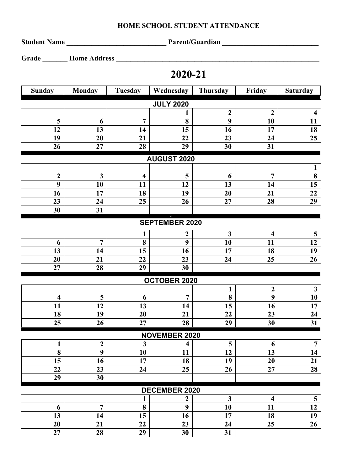## **HOME SCHOOL STUDENT ATTENDANCE**

**Student Name \_\_\_\_\_\_\_\_\_\_\_\_\_\_\_\_\_\_\_\_\_\_\_\_\_\_\_\_ Parent/Guardian \_\_\_\_\_\_\_\_\_\_\_\_\_\_\_\_\_\_\_\_\_\_\_\_\_\_\_**

**Grade \_\_\_\_\_\_\_ Home Address \_\_\_\_\_\_\_\_\_\_\_\_\_\_\_\_\_\_\_\_\_\_\_\_\_\_\_\_\_\_\_\_\_\_\_\_\_\_\_\_\_\_\_\_\_\_\_\_\_\_\_\_\_\_\_\_\_**

## **2020-21**

| <b>Sunday</b>           | <b>Monday</b>    | <b>Tuesday</b>          | Wednesday               | Thursday        | Friday                  | <b>Saturday</b>         |  |  |  |  |
|-------------------------|------------------|-------------------------|-------------------------|-----------------|-------------------------|-------------------------|--|--|--|--|
| <b>JULY 2020</b>        |                  |                         |                         |                 |                         |                         |  |  |  |  |
|                         |                  |                         |                         | $\overline{2}$  | $\overline{2}$          | $\overline{\mathbf{4}}$ |  |  |  |  |
| $\overline{\mathbf{5}}$ | 6                | 7                       | 8                       | 9               | 10                      | 11                      |  |  |  |  |
| 12                      | 13               | 14                      | 15                      | 16              | 17                      | 18                      |  |  |  |  |
| 19                      | 20               | 21                      | 22                      | 23              | 24                      | 25                      |  |  |  |  |
| 26                      | 27               | 28                      | 29                      | 30              | 31                      |                         |  |  |  |  |
| <b>AUGUST 2020</b>      |                  |                         |                         |                 |                         |                         |  |  |  |  |
|                         |                  |                         |                         |                 |                         | 1                       |  |  |  |  |
| $\boldsymbol{2}$        | $\mathbf{3}$     | $\overline{\mathbf{4}}$ | 5                       | 6               | $\overline{7}$          | 8                       |  |  |  |  |
| 9                       | 10               | 11                      | 12                      | 13              | 14                      | 15                      |  |  |  |  |
| 16                      | 17               | 18                      | 19                      | 20              | 21                      | 22                      |  |  |  |  |
| 23                      | 24               | 25                      | 26                      | 27              | 28                      | 29                      |  |  |  |  |
| 30                      | 31               |                         |                         |                 |                         |                         |  |  |  |  |
| <b>SEPTEMBER 2020</b>   |                  |                         |                         |                 |                         |                         |  |  |  |  |
|                         |                  | 1                       | $\boldsymbol{2}$        | $\mathbf{3}$    | $\overline{\mathbf{4}}$ | $\overline{\mathbf{5}}$ |  |  |  |  |
| 6                       | $\overline{7}$   | 8                       | 9                       | 10              | 11                      | 12                      |  |  |  |  |
| 13                      | 14               | 15                      | 16                      | 17              | 18                      | 19                      |  |  |  |  |
| 20                      | 21               | 22                      | 23                      | 24              | 25                      | 26                      |  |  |  |  |
| 27                      | 28               | 29                      | 30                      |                 |                         |                         |  |  |  |  |
| <b>OCTOBER 2020</b>     |                  |                         |                         |                 |                         |                         |  |  |  |  |
|                         |                  |                         |                         | 1               | $\boldsymbol{2}$        | $\mathbf{3}$            |  |  |  |  |
| $\overline{\mathbf{4}}$ | 5                | 6                       | $\overline{7}$          | 8               | 9                       | 10                      |  |  |  |  |
| 11                      | 12               | 13                      | 14                      | 15              | 16                      | 17                      |  |  |  |  |
| 18                      | 19               | 20                      | 21                      | 22              | 23                      | 24                      |  |  |  |  |
| 25                      | 26               | 27                      | 28                      | 29              | 30                      | $\overline{31}$         |  |  |  |  |
| <b>NOVEMBER 2020</b>    |                  |                         |                         |                 |                         |                         |  |  |  |  |
| $\mathbf{1}$            | $\boldsymbol{2}$ | $\mathbf{3}$            | $\overline{\mathbf{4}}$ | 5               | 6                       | $\overline{7}$          |  |  |  |  |
| $\overline{\mathbf{8}}$ | $\overline{9}$   | $\overline{10}$         | $\overline{11}$         | $\overline{12}$ | $\overline{13}$         | 14                      |  |  |  |  |
| 15                      | 16               | 17                      | 18                      | 19              | 20                      | 21                      |  |  |  |  |
| 22                      | 23               | 24                      | 25                      | 26              | 27                      | 28                      |  |  |  |  |
| 29                      | 30               |                         |                         |                 |                         |                         |  |  |  |  |
| <b>DECEMBER 2020</b>    |                  |                         |                         |                 |                         |                         |  |  |  |  |
|                         |                  | 1                       | $\boldsymbol{2}$        | $\mathbf{3}$    | $\overline{\mathbf{4}}$ | $\overline{\mathbf{5}}$ |  |  |  |  |
| 6                       | $\overline{7}$   | 8                       | 9                       | 10              | 11                      | 12                      |  |  |  |  |
| 13                      | 14               | 15                      | 16                      | 17              | 18                      | 19                      |  |  |  |  |
| 20                      | 21               | 22                      | 23                      | 24              | 25                      | 26                      |  |  |  |  |
| 27                      | 28               | 29                      | 30                      | 31              |                         |                         |  |  |  |  |